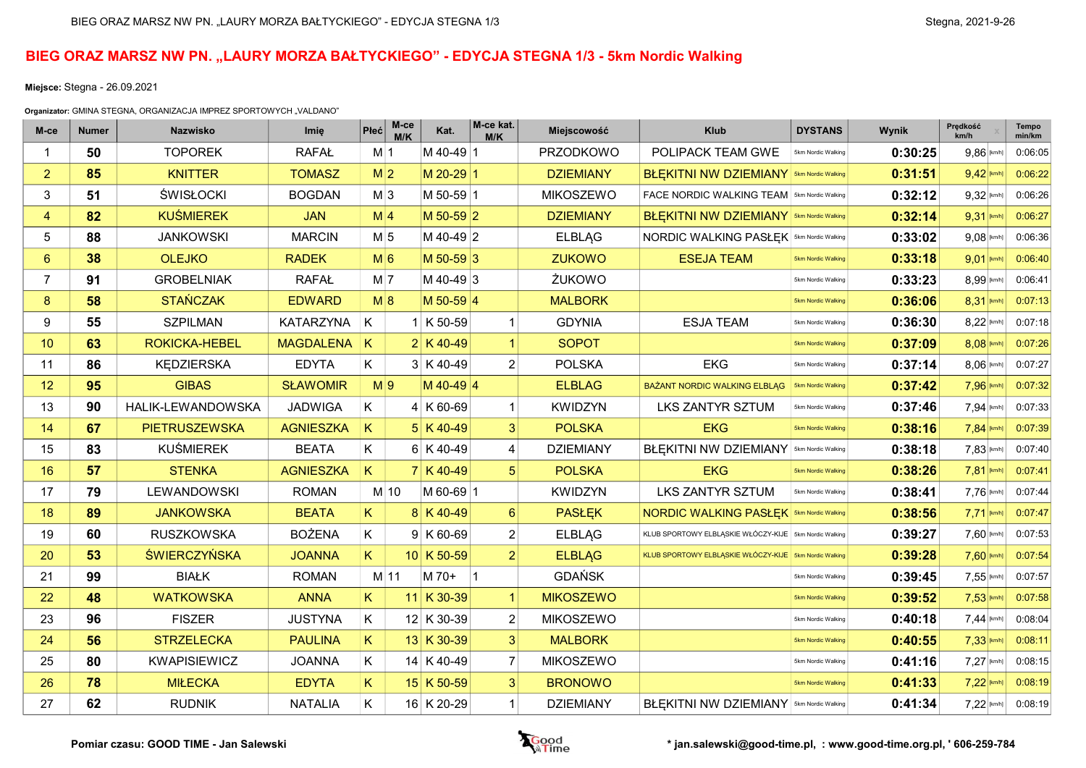## BIEG ORAZ MARSZ NW PN. "LAURY MORZA BAŁTYCKIEGO" - EDYCJA STEGNA 1/3 - 5km Nordic Walking

Miejsce: Stegna - 26.09.2021

Organizator: GMINA STEGNA, ORGANIZACJA IMPREZ SPORTOWYCH "VALDANO"

| M-ce           | <b>Numer</b> | <b>Nazwisko</b>      | Imię             | M-ce<br>Płeć<br>M/K | Kat.         | M-ce kat.<br>M/K | Miejscowość      | <b>Klub</b>                                              | <b>DYSTANS</b>     | Wynik   | Prędkość<br>km/h | Tempo<br>min/km       |
|----------------|--------------|----------------------|------------------|---------------------|--------------|------------------|------------------|----------------------------------------------------------|--------------------|---------|------------------|-----------------------|
|                | 50           | <b>TOPOREK</b>       | <b>RAFAŁ</b>     | M <sub>1</sub>      | M 40-49 1    |                  | PRZODKOWO        | POLIPACK TEAM GWE                                        | 5km Nordic Walking | 0:30:25 | 9,86 [km/h]      | 0:06:05               |
| 2              | 85           | <b>KNITTER</b>       | <b>TOMASZ</b>    | M <sub>2</sub>      | M 20-29 1    |                  | <b>DZIEMIANY</b> | BŁĘKITNI NW DZIEMIANY Skm Nordic Walking                 |                    | 0:31:51 | $9,42$ [km/h]    | 0:06:22               |
| 3              | 51           | <b>ŚWISŁOCKI</b>     | <b>BOGDAN</b>    | $M_3$               | M 50-59 1    |                  | <b>MIKOSZEWO</b> | FACE NORDIC WALKING TEAM   5km Nordic Walking            |                    | 0:32:12 | $9,32$ [km/h]    | 0:06:26               |
| $\overline{4}$ | 82           | <b>KUŚMIEREK</b>     | <b>JAN</b>       | M <sub>4</sub>      | M 50-59 2    |                  | <b>DZIEMIANY</b> | BŁĘKITNI NW DZIEMIANY   5km Nordic Walking               |                    | 0:32:14 | 9.31 [km/h]      | 0:06:27               |
| 5              | 88           | <b>JANKOWSKI</b>     | <b>MARCIN</b>    | $M \vert 5$         | M 40-49 2    |                  | <b>ELBLAG</b>    | NORDIC WALKING PASŁĘK   5km Nordic Walking               |                    | 0:33:02 | $9.08$ [km/h]    | 0:06:36               |
| 6              | 38           | <b>OLEJKO</b>        | <b>RADEK</b>     | M 6                 | M 50-59 3    |                  | <b>ZUKOWO</b>    | <b>ESEJA TEAM</b>                                        | 5km Nordic Walking | 0:33:18 | $9,01$ [km/h]    | 0:06:40               |
| $\overline{7}$ | 91           | <b>GROBELNIAK</b>    | <b>RAFAŁ</b>     | M <sub>7</sub>      | M 40-49 3    |                  | ŻUKOWO           |                                                          | 5km Nordic Walking | 0:33:23 | 8,99 [km/h]      | 0:06:41               |
| 8              | 58           | <b>STAŃCZAK</b>      | <b>EDWARD</b>    | M8                  | M 50-59 4    |                  | <b>MALBORK</b>   |                                                          | 5km Nordic Walking | 0:36:06 | 8,31 [km/h]      | 0:07:13               |
| 9              | 55           | <b>SZPILMAN</b>      | KATARZYNA        | K                   | 1 K 50-59    | $\vert$ 1        | <b>GDYNIA</b>    | <b>ESJA TEAM</b>                                         | 5km Nordic Walking | 0:36:30 | 8.22 [km/h]      | 0:07:18               |
| 10             | 63           | <b>ROKICKA-HEBEL</b> | MAGDALENA K      |                     | $2$ K 40-49  | 1                | <b>SOPOT</b>     |                                                          | 5km Nordic Walking | 0:37:09 | 8.08 [km/h]      | 0:07:26               |
| 11             | 86           | <b>KEDZIERSKA</b>    | <b>EDYTA</b>     | K.                  | 3 K 40-49    | $\overline{2}$   | <b>POLSKA</b>    | <b>EKG</b>                                               | 5km Nordic Walking | 0:37:14 | 8,06 [km/h]      | 0:07:27               |
| 12             | 95           | <b>GIBAS</b>         | <b>SŁAWOMIR</b>  | M <sup>9</sup>      | M 40-49 4    |                  | <b>ELBLAG</b>    | BAŻANT NORDIC WALKING ELBLĄG                             | 5km Nordic Walking | 0:37:42 | 7,96 [km/h]      | 0:07:32               |
| 13             | 90           | HALIK-LEWANDOWSKA    | <b>JADWIGA</b>   | K                   | 4 K 60-69    | $\vert$ 1        | <b>KWIDZYN</b>   | LKS ZANTYR SZTUM                                         | 5km Nordic Walking | 0:37:46 | $7.94$ [km/h]    | 0:07:33               |
| 14             | 67           | <b>PIETRUSZEWSKA</b> | <b>AGNIESZKA</b> | K.                  | 5 K 40-49    | $\mathbf{3}$     | <b>POLSKA</b>    | <b>EKG</b>                                               | 5km Nordic Walking | 0:38:16 | $7.84$ [km/h]    | 0:07:39               |
| 15             | 83           | <b>KUŚMIEREK</b>     | <b>BEATA</b>     | K.                  | 6 K 40-49    | 4                | <b>DZIEMIANY</b> | BŁĘKITNI NW DZIEMIANY Skm Nordic Walking                 |                    | 0:38:18 | 7,83 [km/h]      | 0:07:40               |
| 16             | 57           | <b>STENKA</b>        | <b>AGNIESZKA</b> | K                   | 7 K 40-49    | 5 <sup>5</sup>   | <b>POLSKA</b>    | <b>EKG</b>                                               | 5km Nordic Walking | 0:38:26 | 7,81 [km/h]      | 0:07:41               |
| 17             | 79           | <b>LEWANDOWSKI</b>   | <b>ROMAN</b>     | $M$ 10              | M 60-69 1    |                  | <b>KWIDZYN</b>   | <b>LKS ZANTYR SZTUM</b>                                  | 5km Nordic Walking | 0:38:41 | 7,76 [km/h]      | 0:07:44               |
| 18             | 89           | <b>JANKOWSKA</b>     | <b>BEATA</b>     | K.                  | 8 K 40-49    | $6 \overline{6}$ | <b>PASŁĘK</b>    | NORDIC WALKING PASŁĘK 5km Nordic Walking                 |                    | 0:38:56 | $7.71$ [km/h]    | 0:07:47               |
| 19             | 60           | <b>RUSZKOWSKA</b>    | <b>BOŻENA</b>    | K                   | $9K60-69$    | $\overline{2}$   | <b>ELBLAG</b>    | KLUB SPORTOWY ELBLASKIE WŁÓCZY-KIJE   5km Nordic Walking |                    | 0:39:27 | $7.60$ [km/h]    | 0:07:53               |
| 20             | 53           | <b>ŚWIERCZYŃSKA</b>  | <b>JOANNA</b>    | K.                  | 10 K 50-59   | $\overline{2}$   | <b>ELBLAG</b>    | KLUB SPORTOWY ELBLASKIE WŁÓCZY-KIJE   5km Nordic Walking |                    | 0:39:28 | $7,60$ [km/h]    | 0:07:54               |
| 21             | 99           | <b>BIAŁK</b>         | <b>ROMAN</b>     | M 11                | $M 70 + 1$   |                  | <b>GDAŃSK</b>    |                                                          | 5km Nordic Walking | 0:39:45 | 7,55 [km/h]      | 0:07:57               |
| 22             | 48           | <b>WATKOWSKA</b>     | <b>ANNA</b>      | K                   | 11 K 30-39   | $\vert$ 1        | <b>MIKOSZEWO</b> |                                                          | 5km Nordic Walking | 0:39:52 | $7,53$ [km/h]    | 0:07:58               |
| 23             | 96           | <b>FISZER</b>        | <b>JUSTYNA</b>   | K                   | 12 K 30-39   | 2                | <b>MIKOSZEWO</b> |                                                          | 5km Nordic Walking | 0:40:18 | $7.44$ [km/h]    | 0:08:04               |
| 24             | 56           | <b>STRZELECKA</b>    | <b>PAULINA</b>   | K.                  | 13 K 30-39   | $\mathbf{3}$     | <b>MALBORK</b>   |                                                          | 5km Nordic Walking | 0:40:55 | $7.33$ [km/h]    | 0:08:11               |
| 25             | 80           | <b>KWAPISIEWICZ</b>  | <b>JOANNA</b>    | K                   | 14 K 40-49   | $\overline{7}$   | <b>MIKOSZEWO</b> |                                                          | 5km Nordic Walking | 0:41:16 | 7,27 [km/h]      | 0:08:15               |
| 26             | 78           | <b>MIŁECKA</b>       | <b>EDYTA</b>     | K.                  | $15$ K 50-59 | $\mathbf{3}$     | <b>BRONOWO</b>   |                                                          | 5km Nordic Walking | 0:41:33 | $7,22$ [km/h]    | 0:08:19               |
| 27             | 62           | <b>RUDNIK</b>        | <b>NATALIA</b>   | K.                  | 16 K 20-29   | $\mathbf{1}$     | <b>DZIEMIANY</b> | BŁĘKITNI NW DZIEMIANY Skm Nordic Walking                 |                    | 0:41:34 |                  | $7,22$ [km/h] 0:08:19 |